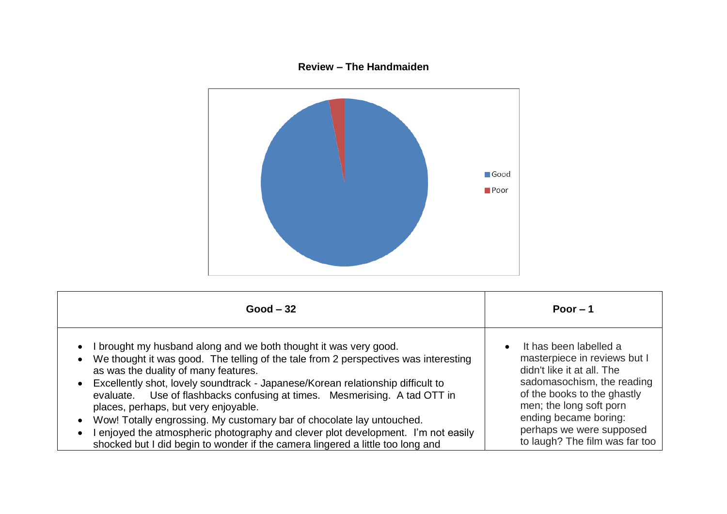## **Review – The Handmaiden**



| $Good - 32$                                                                                                                                                                                                                                                                                                                                                                                                                                                                                                                                                                                                                                                           | Poor $-1$                                                                                                                                                                                                                                                                        |
|-----------------------------------------------------------------------------------------------------------------------------------------------------------------------------------------------------------------------------------------------------------------------------------------------------------------------------------------------------------------------------------------------------------------------------------------------------------------------------------------------------------------------------------------------------------------------------------------------------------------------------------------------------------------------|----------------------------------------------------------------------------------------------------------------------------------------------------------------------------------------------------------------------------------------------------------------------------------|
| I brought my husband along and we both thought it was very good.<br>$\bullet$<br>We thought it was good. The telling of the tale from 2 perspectives was interesting<br>as was the duality of many features.<br>Excellently shot, lovely soundtrack - Japanese/Korean relationship difficult to<br>Use of flashbacks confusing at times. Mesmerising. A tad OTT in<br>evaluate.<br>places, perhaps, but very enjoyable.<br>Wow! Totally engrossing. My customary bar of chocolate lay untouched.<br>enjoyed the atmospheric photography and clever plot development. I'm not easily<br>shocked but I did begin to wonder if the camera lingered a little too long and | It has been labelled a<br>$\bullet$<br>masterpiece in reviews but I<br>didn't like it at all. The<br>sadomasochism, the reading<br>of the books to the ghastly<br>men; the long soft porn<br>ending became boring:<br>perhaps we were supposed<br>to laugh? The film was far too |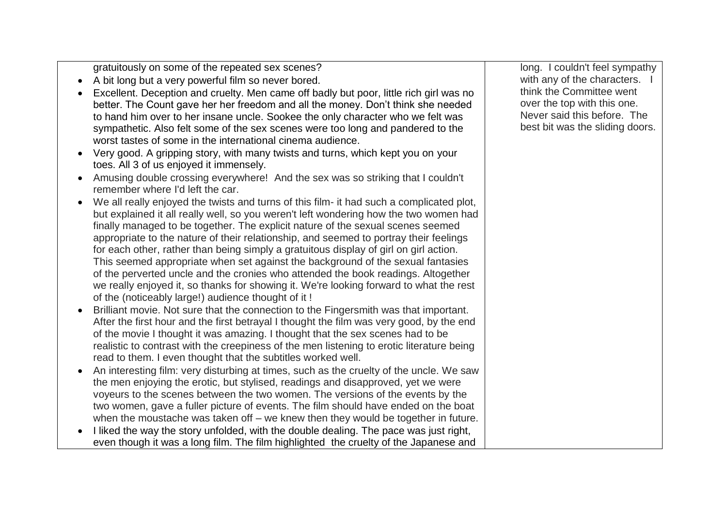gratuitously on some of the repeated sex scenes?

- A bit long but a very powerful film so never bored.
- Excellent. Deception and cruelty. Men came off badly but poor, little rich girl was no better. The Count gave her her freedom and all the money. Don't think she needed to hand him over to her insane uncle. Sookee the only character who we felt was sympathetic. Also felt some of the sex scenes were too long and pandered to the worst tastes of some in the international cinema audience.
- Very good. A gripping story, with many twists and turns, which kept you on your toes. All 3 of us enjoyed it immensely.
- Amusing double crossing everywhere! And the sex was so striking that I couldn't remember where I'd left the car.
- We all really enjoyed the twists and turns of this film- it had such a complicated plot, but explained it all really well, so you weren't left wondering how the two women had finally managed to be together. The explicit nature of the sexual scenes seemed appropriate to the nature of their relationship, and seemed to portray their feelings for each other, rather than being simply a gratuitous display of girl on girl action. This seemed appropriate when set against the background of the sexual fantasies of the perverted uncle and the cronies who attended the book readings. Altogether we really enjoyed it, so thanks for showing it. We're looking forward to what the rest of the (noticeably large!) audience thought of it !
- Brilliant movie. Not sure that the connection to the Fingersmith was that important. After the first hour and the first betrayal I thought the film was very good, by the end of the movie I thought it was amazing. I thought that the sex scenes had to be realistic to contrast with the creepiness of the men listening to erotic literature being read to them. I even thought that the subtitles worked well.
- An interesting film: very disturbing at times, such as the cruelty of the uncle. We saw the men enjoying the erotic, but stylised, readings and disapproved, yet we were voyeurs to the scenes between the two women. The versions of the events by the two women, gave a fuller picture of events. The film should have ended on the boat when the moustache was taken off – we knew then they would be together in future.
- I liked the way the story unfolded, with the double dealing. The pace was just right, even though it was a long film. The film highlighted the cruelty of the Japanese and

long. I couldn't feel sympathy with any of the characters. I think the Committee went over the top with this one. Never said this before. The best bit was the sliding doors.